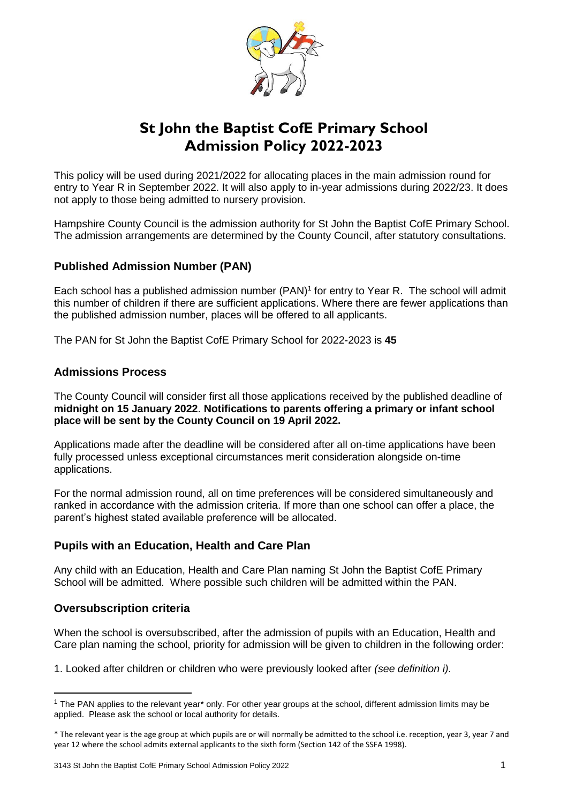

# **St John the Baptist CofE Primary School Admission Policy 2022-2023**

This policy will be used during 2021/2022 for allocating places in the main admission round for entry to Year R in September 2022. It will also apply to in-year admissions during 2022/23. It does not apply to those being admitted to nursery provision.

Hampshire County Council is the admission authority for St John the Baptist CofE Primary School. The admission arrangements are determined by the County Council, after statutory consultations.

# **Published Admission Number (PAN)**

Each school has a published admission number (PAN)<sup>1</sup> for entry to Year R. The school will admit this number of children if there are sufficient applications. Where there are fewer applications than the published admission number, places will be offered to all applicants.

The PAN for St John the Baptist CofE Primary School for 2022-2023 is **45**

# **Admissions Process**

The County Council will consider first all those applications received by the published deadline of **midnight on 15 January 2022**. **Notifications to parents offering a primary or infant school place will be sent by the County Council on 19 April 2022.**

Applications made after the deadline will be considered after all on-time applications have been fully processed unless exceptional circumstances merit consideration alongside on-time applications.

For the normal admission round, all on time preferences will be considered simultaneously and ranked in accordance with the admission criteria. If more than one school can offer a place, the parent's highest stated available preference will be allocated.

# **Pupils with an Education, Health and Care Plan**

Any child with an Education, Health and Care Plan naming St John the Baptist CofE Primary School will be admitted. Where possible such children will be admitted within the PAN.

# **Oversubscription criteria**

**.** 

When the school is oversubscribed, after the admission of pupils with an Education, Health and Care plan naming the school, priority for admission will be given to children in the following order:

1. Looked after children or children who were previously looked after *(see definition i).* 

<sup>1</sup> The PAN applies to the relevant year\* only. For other year groups at the school, different admission limits may be applied. Please ask the school or local authority for details.

<sup>\*</sup> The relevant year is the age group at which pupils are or will normally be admitted to the school i.e. reception, year 3, year 7 and year 12 where the school admits external applicants to the sixth form (Section 142 of the SSFA 1998).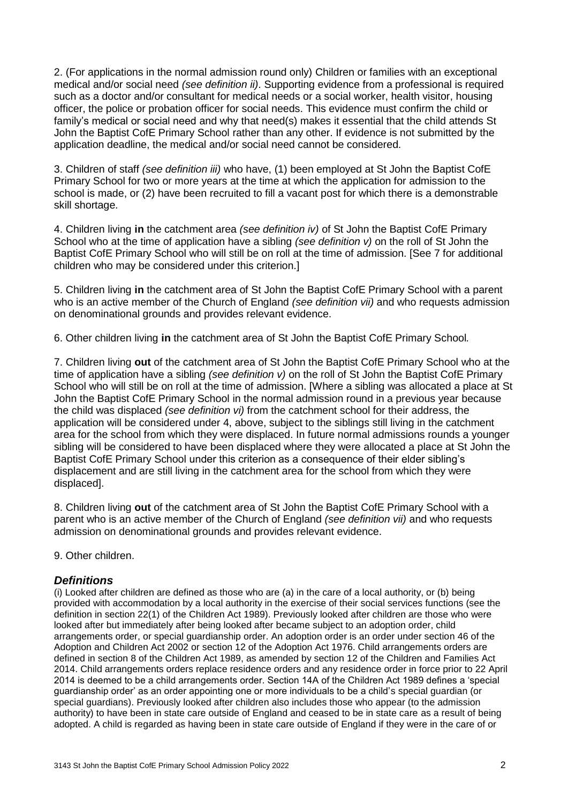2. (For applications in the normal admission round only) Children or families with an exceptional medical and/or social need *(see definition ii)*. Supporting evidence from a professional is required such as a doctor and/or consultant for medical needs or a social worker, health visitor, housing officer, the police or probation officer for social needs. This evidence must confirm the child or family's medical or social need and why that need(s) makes it essential that the child attends St John the Baptist CofE Primary School rather than any other. If evidence is not submitted by the application deadline, the medical and/or social need cannot be considered.

3. Children of staff *(see definition iii)* who have, (1) been employed at St John the Baptist CofE Primary School for two or more years at the time at which the application for admission to the school is made, or (2) have been recruited to fill a vacant post for which there is a demonstrable skill shortage.

4. Children living **in** the catchment area *(see definition iv)* of St John the Baptist CofE Primary School who at the time of application have a sibling *(see definition v)* on the roll of St John the Baptist CofE Primary School who will still be on roll at the time of admission. [See 7 for additional children who may be considered under this criterion.]

5. Children living **in** the catchment area of St John the Baptist CofE Primary School with a parent who is an active member of the Church of England *(see definition vii)* and who requests admission on denominational grounds and provides relevant evidence.

6. Other children living **in** the catchment area of St John the Baptist CofE Primary School*.*

7. Children living **out** of the catchment area of St John the Baptist CofE Primary School who at the time of application have a sibling *(see definition v)* on the roll of St John the Baptist CofE Primary School who will still be on roll at the time of admission. [Where a sibling was allocated a place at St John the Baptist CofE Primary School in the normal admission round in a previous year because the child was displaced *(see definition vi)* from the catchment school for their address, the application will be considered under 4, above, subject to the siblings still living in the catchment area for the school from which they were displaced. In future normal admissions rounds a younger sibling will be considered to have been displaced where they were allocated a place at St John the Baptist CofE Primary School under this criterion as a consequence of their elder sibling's displacement and are still living in the catchment area for the school from which they were displaced].

8. Children living **out** of the catchment area of St John the Baptist CofE Primary School with a parent who is an active member of the Church of England *(see definition vii)* and who requests admission on denominational grounds and provides relevant evidence.

9. Other children.

#### *Definitions*

(i) Looked after children are defined as those who are (a) in the care of a local authority, or (b) being provided with accommodation by a local authority in the exercise of their social services functions (see the definition in section 22(1) of the Children Act 1989). Previously looked after children are those who were looked after but immediately after being looked after became subject to an adoption order, child arrangements order, or special guardianship order. An adoption order is an order under section 46 of the Adoption and Children Act 2002 or section 12 of the Adoption Act 1976. Child arrangements orders are defined in section 8 of the Children Act 1989, as amended by section 12 of the Children and Families Act 2014. Child arrangements orders replace residence orders and any residence order in force prior to 22 April 2014 is deemed to be a child arrangements order. Section 14A of the Children Act 1989 defines a 'special guardianship order' as an order appointing one or more individuals to be a child's special guardian (or special guardians). Previously looked after children also includes those who appear (to the admission authority) to have been in state care outside of England and ceased to be in state care as a result of being adopted. A child is regarded as having been in state care outside of England if they were in the care of or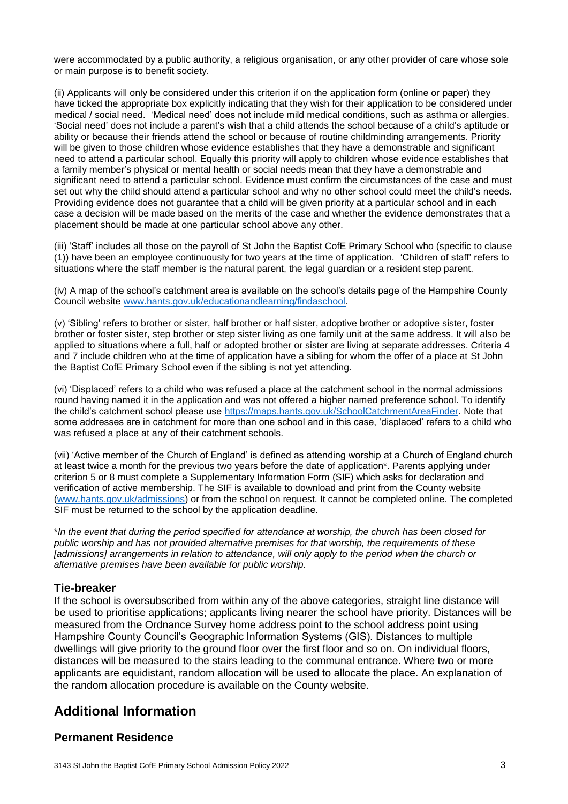were accommodated by a public authority, a religious organisation, or any other provider of care whose sole or main purpose is to benefit society.

(ii) Applicants will only be considered under this criterion if on the application form (online or paper) they have ticked the appropriate box explicitly indicating that they wish for their application to be considered under medical / social need. 'Medical need' does not include mild medical conditions, such as asthma or allergies. 'Social need' does not include a parent's wish that a child attends the school because of a child's aptitude or ability or because their friends attend the school or because of routine childminding arrangements. Priority will be given to those children whose evidence establishes that they have a demonstrable and significant need to attend a particular school. Equally this priority will apply to children whose evidence establishes that a family member's physical or mental health or social needs mean that they have a demonstrable and significant need to attend a particular school. Evidence must confirm the circumstances of the case and must set out why the child should attend a particular school and why no other school could meet the child's needs. Providing evidence does not guarantee that a child will be given priority at a particular school and in each case a decision will be made based on the merits of the case and whether the evidence demonstrates that a placement should be made at one particular school above any other.

(iii) 'Staff' includes all those on the payroll of St John the Baptist CofE Primary School who (specific to clause (1)) have been an employee continuously for two years at the time of application. 'Children of staff' refers to situations where the staff member is the natural parent, the legal guardian or a resident step parent.

(iv) A map of the school's catchment area is available on the school's details page of the Hampshire County Council website [www.hants.gov.uk/educationandlearning/findaschool.](http://www.hants.gov.uk/educationandlearning/findaschool)

(v) 'Sibling' refers to brother or sister, half brother or half sister, adoptive brother or adoptive sister, foster brother or foster sister, step brother or step sister living as one family unit at the same address. It will also be applied to situations where a full, half or adopted brother or sister are living at separate addresses. Criteria 4 and 7 include children who at the time of application have a sibling for whom the offer of a place at St John the Baptist CofE Primary School even if the sibling is not yet attending.

(vi) 'Displaced' refers to a child who was refused a place at the catchment school in the normal admissions round having named it in the application and was not offered a higher named preference school. To identify the child's catchment school please use [https://maps.hants.gov.uk/SchoolCatchmentAreaFinder.](https://maps.hants.gov.uk/SchoolCatchmentAreaFinder/) Note that some addresses are in catchment for more than one school and in this case, 'displaced' refers to a child who was refused a place at any of their catchment schools.

(vii) 'Active member of the Church of England' is defined as attending worship at a Church of England church at least twice a month for the previous two years before the date of application\*. Parents applying under criterion 5 or 8 must complete a Supplementary Information Form (SIF) which asks for declaration and verification of active membership. The SIF is available to download and print from the County website [\(www.hants.gov.uk/admissions\)](http://www.hants.gov.uk/admissions) or from the school on request. It cannot be completed online. The completed SIF must be returned to the school by the application deadline.

\**In the event that during the period specified for attendance at worship, the church has been closed for public worship and has not provided alternative premises for that worship, the requirements of these [admissions] arrangements in relation to attendance, will only apply to the period when the church or alternative premises have been available for public worship.*

# **Tie-breaker**

If the school is oversubscribed from within any of the above categories, straight line distance will be used to prioritise applications; applicants living nearer the school have priority. Distances will be measured from the Ordnance Survey home address point to the school address point using Hampshire County Council's Geographic Information Systems (GIS). Distances to multiple dwellings will give priority to the ground floor over the first floor and so on. On individual floors, distances will be measured to the stairs leading to the communal entrance. Where two or more applicants are equidistant, random allocation will be used to allocate the place. An explanation of the random allocation procedure is available on the County website.

# **Additional Information**

# **Permanent Residence**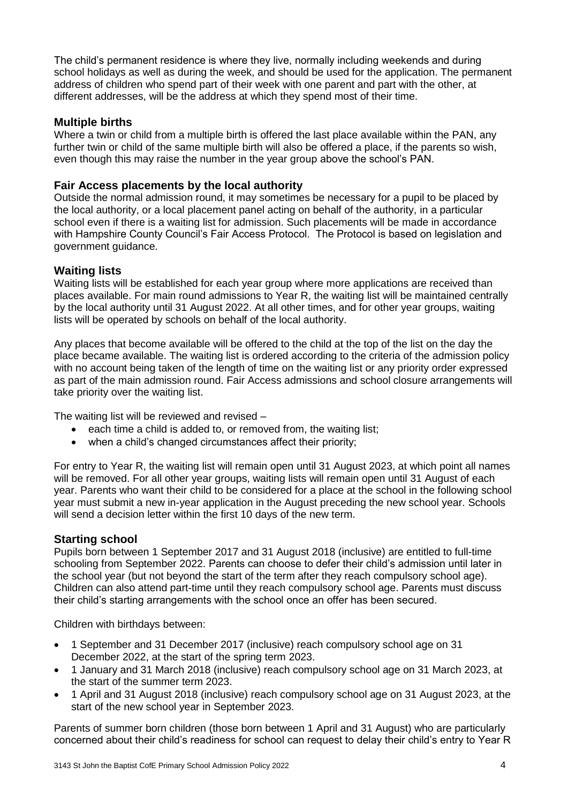The child's permanent residence is where they live, normally including weekends and during school holidays as well as during the week, and should be used for the application. The permanent address of children who spend part of their week with one parent and part with the other, at different addresses, will be the address at which they spend most of their time.

# **Multiple births**

Where a twin or child from a multiple birth is offered the last place available within the PAN, any further twin or child of the same multiple birth will also be offered a place, if the parents so wish, even though this may raise the number in the year group above the school's PAN.

#### **Fair Access placements by the local authority**

Outside the normal admission round, it may sometimes be necessary for a pupil to be placed by the local authority, or a local placement panel acting on behalf of the authority, in a particular school even if there is a waiting list for admission. Such placements will be made in accordance with Hampshire County Council's Fair Access Protocol. The Protocol is based on legislation and government guidance.

#### **Waiting lists**

Waiting lists will be established for each year group where more applications are received than places available. For main round admissions to Year R, the waiting list will be maintained centrally by the local authority until 31 August 2022. At all other times, and for other year groups, waiting lists will be operated by schools on behalf of the local authority.

Any places that become available will be offered to the child at the top of the list on the day the place became available. The waiting list is ordered according to the criteria of the admission policy with no account being taken of the length of time on the waiting list or any priority order expressed as part of the main admission round. Fair Access admissions and school closure arrangements will take priority over the waiting list.

The waiting list will be reviewed and revised –

- each time a child is added to, or removed from, the waiting list;
- when a child's changed circumstances affect their priority;

For entry to Year R, the waiting list will remain open until 31 August 2023, at which point all names will be removed. For all other year groups, waiting lists will remain open until 31 August of each year. Parents who want their child to be considered for a place at the school in the following school year must submit a new in-year application in the August preceding the new school year. Schools will send a decision letter within the first 10 days of the new term.

#### **Starting school**

Pupils born between 1 September 2017 and 31 August 2018 (inclusive) are entitled to full-time schooling from September 2022. Parents can choose to defer their child's admission until later in the school year (but not beyond the start of the term after they reach compulsory school age). Children can also attend part-time until they reach compulsory school age. Parents must discuss their child's starting arrangements with the school once an offer has been secured.

Children with birthdays between:

- 1 September and 31 December 2017 (inclusive) reach compulsory school age on 31 December 2022, at the start of the spring term 2023.
- 1 January and 31 March 2018 (inclusive) reach compulsory school age on 31 March 2023, at the start of the summer term 2023.
- 1 April and 31 August 2018 (inclusive) reach compulsory school age on 31 August 2023, at the start of the new school year in September 2023.

Parents of summer born children (those born between 1 April and 31 August) who are particularly concerned about their child's readiness for school can request to delay their child's entry to Year R